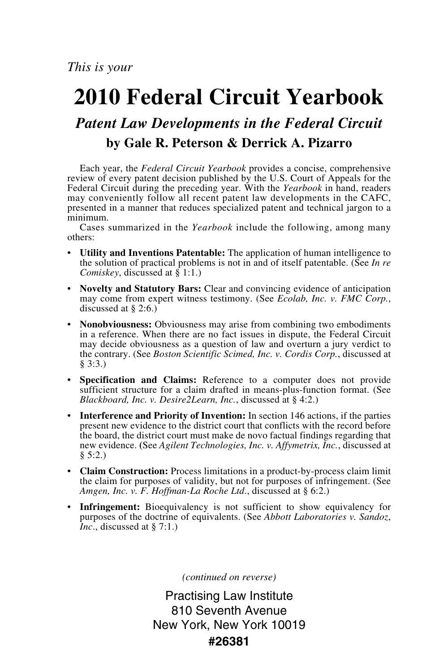## **2010 Federal Circuit Yearbook**

## *Patent Law Developments in the Federal Circuit* **by Gale R. Peterson & Derrick A. Pizarro**

Each year, the *Federal Circuit Yearbook* provides a concise, comprehensive review of every patent decision published by the U.S. Court of Appeals for the Federal Circuit during the preceding year. With the *Yearbook* in hand, readers may conveniently follow all recent patent law developments in the CAFC, presented in a manner that reduces specialized patent and technical jargon to a minimum.

Cases summarized in the *Yearbook* include the following, among many others:

- **Utility and Inventions Patentable:** The application of human intelligence to the solution of practical problems is not in and of itself patentable. (See *In re Comiskey*, discussed at § 1:1.)
- **Novelty and Statutory Bars:** Clear and convincing evidence of anticipation may come from expert witness testimony. (See *Ecolab, Inc. v. FMC Corp.*, discussed at § 2:6.)
- **Nonobviousness:** Obviousness may arise from combining two embodiments in a reference. When there are no fact issues in dispute, the Federal Circuit may decide obviousness as a question of law and overturn a jury verdict to the contrary. (See *Boston Scientific Scimed, Inc. v. Cordis Corp.*, discussed at § 3:3.)
- **Specification and Claims:** Reference to a computer does not provide sufficient structure for a claim drafted in means-plus-function format. (See *Blackboard, Inc. v. Desire2Learn, Inc.*, discussed at § 4:2.)
- **Interference and Priority of Invention:** In section 146 actions, if the parties present new evidence to the district court that conflicts with the record before the board, the district court must make de novo factual findings regarding that new evidence. **(**See *Agilent Technologies, Inc. v. Affymetrix, Inc.*, discussed at § 5:2.)
- **Claim Construction:** Process limitations in a product-by-process claim limit the claim for purposes of validity, but not for purposes of infringement. (See *Amgen, Inc. v. F. Hoffman-La Roche Ltd*., discussed at § 6:2.)
- **Infringement:** Bioequivalency is not sufficient to show equivalency for purposes of the doctrine of equivalents. (See *Abbott Laboratories v. Sandoz*, *Inc.*, discussed at § 7:1.)

*(continued on reverse)*

Practising Law Institute 810 Seventh Avenue New York, New York 10019 **#26381**